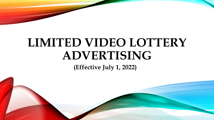# **LIMITED VIDEO LOTTERY ADVERTISING**

**(Effective July 1, 2022)**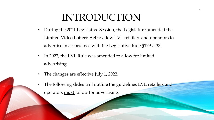### INTRODUCTION

- During the 2021 Legislative Session, the Legislature amended the Limited Video Lottery Act to allow LVL retailers and operators to advertise in accordance with the Legislative Rule §179-5-33.
- In 2022, the LVL Rule was amended to allow for limited advertising.
- The changes are effective July 1, 2022.
- The following slides will outline the guidelines LVL retailers and operators **must** follow for advertising.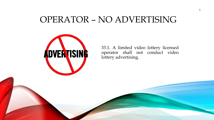### OPERATOR – NO ADVERTISING



33.1. A limited video lottery licensed operator shall not conduct video lottery advertising.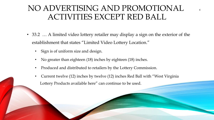### NO ADVERTISING AND PROMOTIONAL ACTIVITIES EXCEPT RED BALL

4

- 33.2 … A limited video lottery retailer may display a sign on the exterior of the establishment that states "Limited Video Lottery Location."
	- Sign is of uniform size and design.
	- No greater than eighteen (18) inches by eighteen (18) inches.
	- Produced and distributed to retailers by the Lottery Commission.
	- Current twelve (12) inches by twelve (12) inches Red Ball with "West Virginia Lottery Products available here" can continue to be used.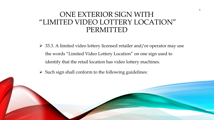#### ONE EXTERIOR SIGN WITH "LIMITED VIDEO LOTTERY LOCATION" PERMITTED

- $\geq$  33.3. A limited video lottery licensed retailer and/or operator may use the words "Limited Video Lottery Location" on one sign used to identify that the retail location has video lottery machines.
- $\triangleright$  Such sign shall conform to the following guidelines: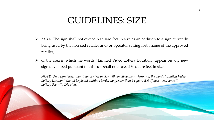### GUIDELINES: SIZE

- $\geq$  33.3.a. The sign shall not exceed 6 square feet in size as an addition to a sign currently being used by the licensed retailer and/or operator setting forth name of the approved retailer,
- $\triangleright$  or the area in which the words "Limited Video Lottery Location" appear on any new sign developed pursuant to this rule shall not exceed 6 square feet in size;

*NOTE: On a sign larger than 6 square feet in size with an all-white background, the words "Limited Video Lottery Location" should be placed within a border no greater than 6 square feet. If questions, consult Lottery Security Division.*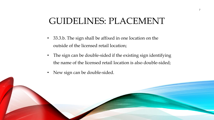### GUIDELINES: PLACEMENT

- 33.3.b. The sign shall be affixed in one location on the outside of the licensed retail location;
- The sign can be double-sided if the existing sign identifying the name of the licensed retail location is also double-sided;
- New sign can be double-sided.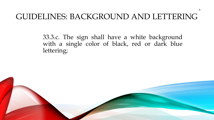### GUIDELINES: BACKGROUND AND LETTERING

33.3.c. The sign shall have a white background with a single color of black, red or dark blue lettering;

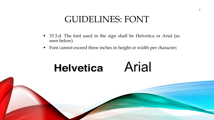### GUIDELINES: FONT

- 33.3.d. The font used in the sign shall be Helvetica or Arial (as seen below)
- Font cannot exceed three inches in height or width per character;

## **Helvetica**

## Arial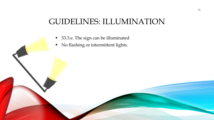### GUIDELINES: ILLUMINATION

- 33.3.e. The sign can be illuminated
- No flashing or intermittent lights.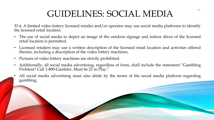### GUIDELINES: SOCIAL MEDIA

33.4. A limited video lottery licensed retailer and/or operator may use social media platforms to identify the licensed retail location.

- The use of social media to depict an image of the outdoor signage and indoor décor of the licensed retail location is permitted.
- Licensed retailers may use a written description of the licensed retail location and activities offered therein, including a description of the video lottery machines.
- Pictures of video lottery machines are strictly prohibited.
- Additionally, all social media advertising, regardless of form, shall include the statement "Gambling Problem? Call 1-800-Gambler. Must be 21 to Play."
- All social media advertising must also abide by the terms of the social media platform regarding gambling;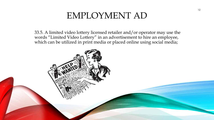### EMPLOYMENT AD

33.5. A limited video lottery licensed retailer and/or operator may use the words "Limited Video Lottery" in an advertisement to hire an employee, which can be utilized in print media or placed online using social media;

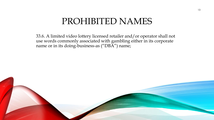### PROHIBITED NAMES

33.6. A limited video lottery licensed retailer and/or operator shall not use words commonly associated with gambling either in its corporate name or in its doing-business-as ("DBA") name;

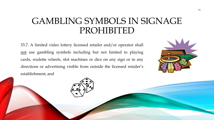### GAMBLING SYMBOLS IN SIGNAGE PROHIBITED

33.7. A limited video lottery licensed retailer and/or operator shall not use gambling symbols including but not limited to playing cards, roulette wheels, slot machines or dice on any sign or in any directions or advertising visible from outside the licensed retailer's establishment; and